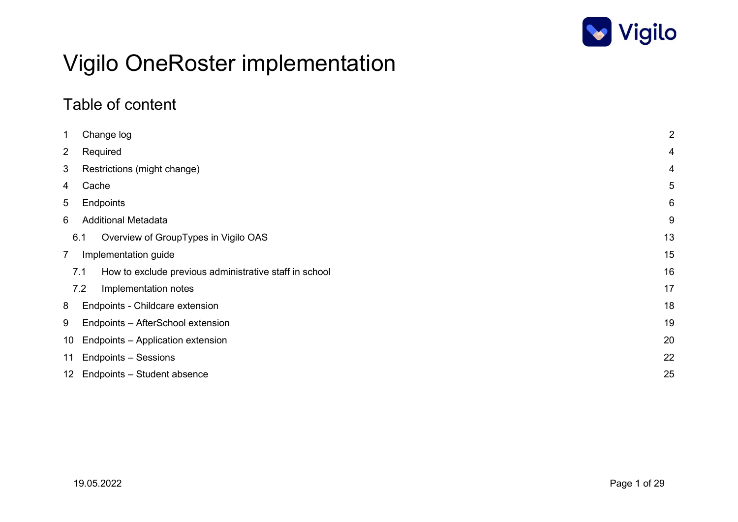

# Vigilo OneRoster implementation

### Table of content

| 1<br>Change log                                               | $\overline{2}$ |
|---------------------------------------------------------------|----------------|
| $\overline{2}$<br>Required                                    | 4              |
| 3<br>Restrictions (might change)                              | 4              |
| Cache<br>4                                                    | 5              |
| 5<br>Endpoints                                                | 6              |
| 6<br><b>Additional Metadata</b>                               | 9              |
| Overview of GroupTypes in Vigilo OAS<br>6.1                   | 13             |
| $\overline{7}$<br>Implementation guide                        | 15             |
| How to exclude previous administrative staff in school<br>7.1 | 16             |
| 7.2<br>Implementation notes                                   | 17             |
| 8<br>Endpoints - Childcare extension                          | 18             |
| 9<br>Endpoints - AfterSchool extension                        | 19             |
| Endpoints - Application extension<br>10 <sup>1</sup>          | 20             |
| 11 Endpoints - Sessions                                       | 22             |
| 12 Endpoints - Student absence                                | 25             |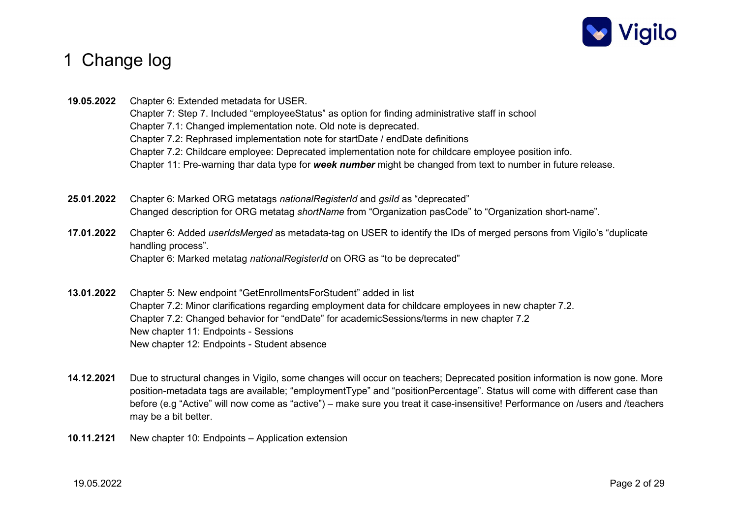

### 1 Change log

19.05.2022 Chapter 6: Extended metadata for USER. Chapter 7: Step 7. Included "employeeStatus" as option for finding administrative staff in school Chapter 7.1: Changed implementation note. Old note is deprecated. Chapter 7.2: Rephrased implementation note for startDate / endDate definitions Chapter 7.2: Childcare employee: Deprecated implementation note for childcare employee position info. Chapter 11: Pre-warning thar data type for week number might be changed from text to number in future release.

- 25.01.2022 Chapter 6: Marked ORG metatags nationalRegisterId and gsild as "deprecated" Changed description for ORG metatag *shortName* from "Organization pasCode" to "Organization short-name".
- 17.01.2022 Chapter 6: Added userIdsMerged as metadata-tag on USER to identify the IDs of merged persons from Vigilo's "duplicate handling process". Chapter 6: Marked metatag nationalRegisterId on ORG as "to be deprecated"
- 13.01.2022 Chapter 5: New endpoint "GetEnrollmentsForStudent" added in list Chapter 7.2: Minor clarifications regarding employment data for childcare employees in new chapter 7.2. Chapter 7.2: Changed behavior for "endDate" for academicSessions/terms in new chapter 7.2 New chapter 11: Endpoints - Sessions New chapter 12: Endpoints - Student absence
- 14.12.2021 Due to structural changes in Vigilo, some changes will occur on teachers; Deprecated position information is now gone. More position-metadata tags are available; "employmentType" and "positionPercentage". Status will come with different case than before (e.g "Active" will now come as "active") – make sure you treat it case-insensitive! Performance on /users and /teachers may be a bit better.
- 10.11.2121 New chapter 10: Endpoints Application extension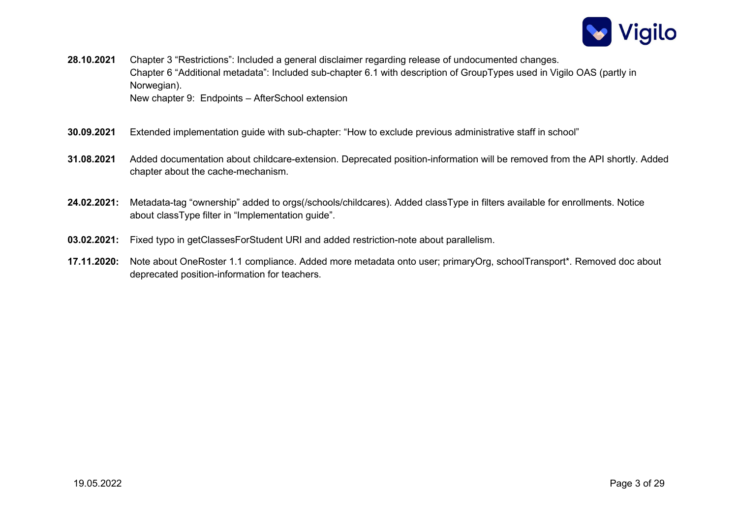

- 28.10.2021 Chapter 3 "Restrictions": Included a general disclaimer regarding release of undocumented changes. Chapter 6 "Additional metadata": Included sub-chapter 6.1 with description of GroupTypes used in Vigilo OAS (partly in Norwegian). New chapter 9: Endpoints – AfterSchool extension
- 30.09.2021 Extended implementation guide with sub-chapter: "How to exclude previous administrative staff in school"
- 31.08.2021 Added documentation about childcare-extension. Deprecated position-information will be removed from the API shortly. Added chapter about the cache-mechanism.
- 24.02.2021: Metadata-tag "ownership" added to orgs(/schools/childcares). Added classType in filters available for enrollments. Notice about classType filter in "Implementation guide".
- 03.02.2021: Fixed typo in getClassesForStudent URI and added restriction-note about parallelism.
- 17.11.2020: Note about OneRoster 1.1 compliance. Added more metadata onto user; primaryOrg, schoolTransport\*. Removed doc about deprecated position-information for teachers.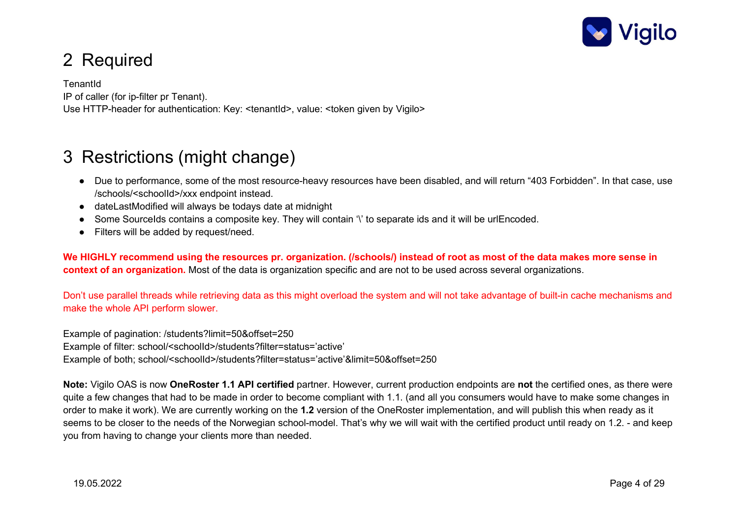

# 2 Required

**TenantId** IP of caller (for ip-filter pr Tenant). Use HTTP-header for authentication: Key: <tenantId>, value: <token given by Vigilo>

### 3 Restrictions (might change)

- Due to performance, some of the most resource-heavy resources have been disabled, and will return "403 Forbidden". In that case, use /schools/<schoolId>/xxx endpoint instead.
- dateLastModified will always be todays date at midnight
- Some SourceIds contains a composite key. They will contain '\' to separate ids and it will be urlEncoded.
- Filters will be added by request/need.

We HIGHLY recommend using the resources pr. organization. (/schools/) instead of root as most of the data makes more sense in context of an organization. Most of the data is organization specific and are not to be used across several organizations.

Don't use parallel threads while retrieving data as this might overload the system and will not take advantage of built-in cache mechanisms and make the whole API perform slower.

Example of pagination: /students?limit=50&offset=250 Example of filter: school/<schoolId>/students?filter=status='active' Example of both; school/<schoolId>/students?filter=status='active'&limit=50&offset=250

Note: Vigilo OAS is now OneRoster 1.1 API certified partner. However, current production endpoints are not the certified ones, as there were quite a few changes that had to be made in order to become compliant with 1.1. (and all you consumers would have to make some changes in order to make it work). We are currently working on the 1.2 version of the OneRoster implementation, and will publish this when ready as it seems to be closer to the needs of the Norwegian school-model. That's why we will wait with the certified product until ready on 1.2. - and keep you from having to change your clients more than needed.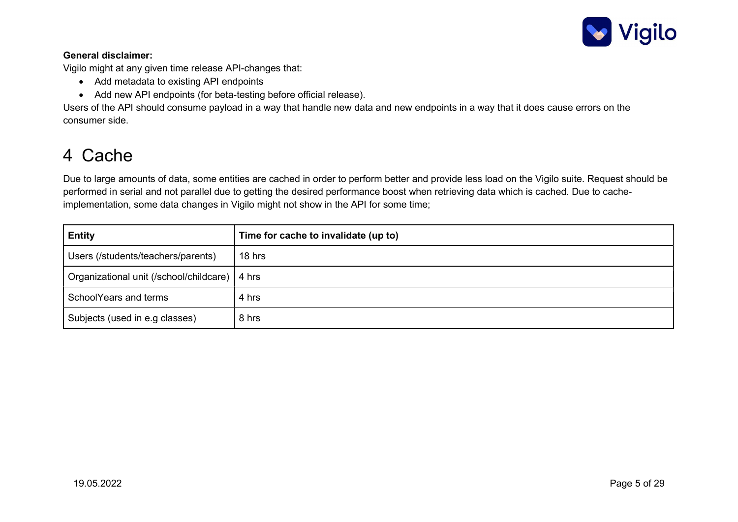

#### General disclaimer:

Vigilo might at any given time release API-changes that:

- Add metadata to existing API endpoints
- Add new API endpoints (for beta-testing before official release).

Users of the API should consume payload in a way that handle new data and new endpoints in a way that it does cause errors on the consumer side.

### 4 Cache

Due to large amounts of data, some entities are cached in order to perform better and provide less load on the Vigilo suite. Request should be performed in serial and not parallel due to getting the desired performance boost when retrieving data which is cached. Due to cacheimplementation, some data changes in Vigilo might not show in the API for some time;

| <b>Entity</b>                                   | Time for cache to invalidate (up to) |  |
|-------------------------------------------------|--------------------------------------|--|
| Users (/students/teachers/parents)              | 18 hrs                               |  |
| Organizational unit (/school/childcare)   4 hrs |                                      |  |
| SchoolYears and terms                           | 4 hrs                                |  |
| Subjects (used in e.g classes)                  | 8 hrs                                |  |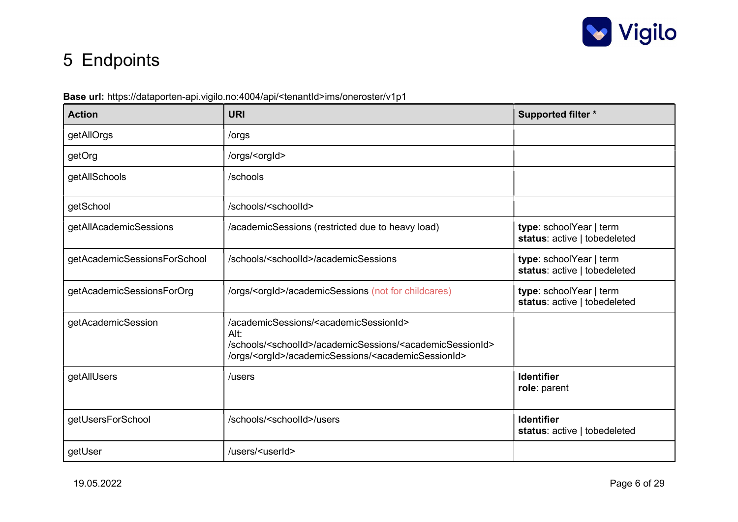

# 5 Endpoints

### Base url: https://dataporten-api.vigilo.no:4004/api/<tenantId>ims/oneroster/v1p1

| <b>Action</b>                | <b>URI</b>                                                                                                                                                                                                                                         | <b>Supported filter *</b>                               |
|------------------------------|----------------------------------------------------------------------------------------------------------------------------------------------------------------------------------------------------------------------------------------------------|---------------------------------------------------------|
| getAllOrgs                   | /orgs                                                                                                                                                                                                                                              |                                                         |
| getOrg                       | /orgs/ <orgld></orgld>                                                                                                                                                                                                                             |                                                         |
| getAllSchools                | /schools                                                                                                                                                                                                                                           |                                                         |
| getSchool                    | /schools/ <schoolld></schoolld>                                                                                                                                                                                                                    |                                                         |
| getAllAcademicSessions       | /academicSessions (restricted due to heavy load)                                                                                                                                                                                                   | type: schoolYear   term<br>status: active   tobedeleted |
| getAcademicSessionsForSchool | /schools/ <schoolid>/academicSessions</schoolid>                                                                                                                                                                                                   | type: schoolYear   term<br>status: active   tobedeleted |
| getAcademicSessionsForOrg    | /orgs/ <orgid>/academicSessions (not for childcares)</orgid>                                                                                                                                                                                       | type: schoolYear   term<br>status: active   tobedeleted |
| getAcademicSession           | /academicSessions/ <academicsessionid><br/>Alt:<br/>/schools/<schoolid>/academicSessions/<academicsessionid><br/>/orgs/<orgid>/academicSessions/<academicsessionid></academicsessionid></orgid></academicsessionid></schoolid></academicsessionid> |                                                         |
| getAllUsers                  | /users                                                                                                                                                                                                                                             | <b>Identifier</b><br>role: parent                       |
| getUsersForSchool            | /schools/ <schoolld>/users</schoolld>                                                                                                                                                                                                              | <b>Identifier</b><br>status: active   tobedeleted       |
| getUser                      | /users/ <userid></userid>                                                                                                                                                                                                                          |                                                         |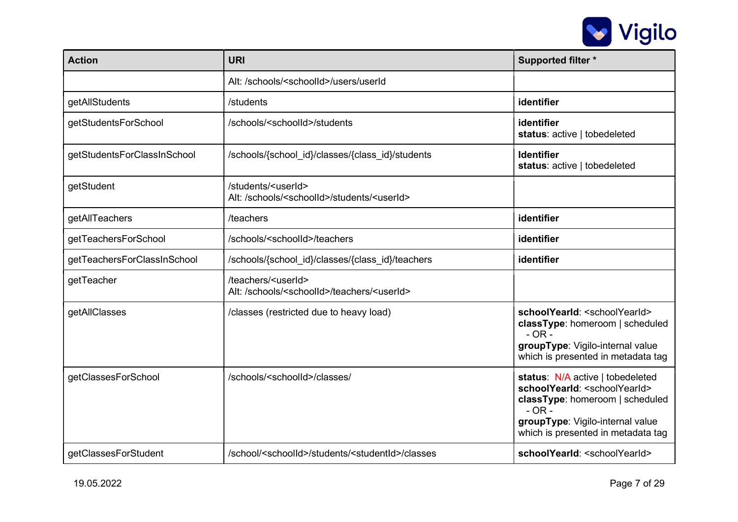

| <b>Action</b>                                                                                   | <b>URI</b>                                                                                                                                                                                              | <b>Supported filter *</b>                                                                                                                                                                                                            |
|-------------------------------------------------------------------------------------------------|---------------------------------------------------------------------------------------------------------------------------------------------------------------------------------------------------------|--------------------------------------------------------------------------------------------------------------------------------------------------------------------------------------------------------------------------------------|
|                                                                                                 | Alt: /schools/ <schoolid>/users/userId</schoolid>                                                                                                                                                       |                                                                                                                                                                                                                                      |
| getAllStudents                                                                                  | /students                                                                                                                                                                                               | identifier                                                                                                                                                                                                                           |
| getStudentsForSchool                                                                            | /schools/ <schoolid>/students</schoolid>                                                                                                                                                                | identifier<br>status: active   tobedeleted                                                                                                                                                                                           |
| getStudentsForClassInSchool                                                                     | /schools/{school id}/classes/{class id}/students                                                                                                                                                        | <b>Identifier</b><br>status: active   tobedeleted                                                                                                                                                                                    |
| getStudent                                                                                      | /students/ <userid><br/>Alt: /schools/<schoolid>/students/<userid></userid></schoolid></userid>                                                                                                         |                                                                                                                                                                                                                                      |
| getAllTeachers                                                                                  | /teachers                                                                                                                                                                                               | identifier                                                                                                                                                                                                                           |
| getTeachersForSchool                                                                            | /schools/ <schoolid>/teachers</schoolid>                                                                                                                                                                | identifier                                                                                                                                                                                                                           |
| getTeachersForClassInSchool                                                                     | /schools/{school_id}/classes/{class_id}/teachers                                                                                                                                                        | identifier                                                                                                                                                                                                                           |
| getTeacher                                                                                      | /teachers/ <userid><br/>Alt: /schools/<schoolid>/teachers/<userid></userid></schoolid></userid>                                                                                                         |                                                                                                                                                                                                                                      |
| getAllClasses                                                                                   | schoolYearId: <schoolyearid><br/>/classes (restricted due to heavy load)<br/>classType: homeroom   scheduled<br/>groupType: Vigilo-internal value<br/>which is presented in metadata tag</schoolyearid> |                                                                                                                                                                                                                                      |
| getClassesForSchool                                                                             | /schools/ <schoolid>/classes/</schoolid>                                                                                                                                                                | status: N/A active   tobedeleted<br>schoolYearId: <schoolyearid><br/>classType: homeroom   scheduled<br/><math>-</math> OR <math>-</math><br/>groupType: Vigilo-internal value<br/>which is presented in metadata tag</schoolyearid> |
| getClassesForStudent<br>/school/ <schoolid>/students/<studentid>/classes</studentid></schoolid> |                                                                                                                                                                                                         | schoolYearId: <schoolyearid></schoolyearid>                                                                                                                                                                                          |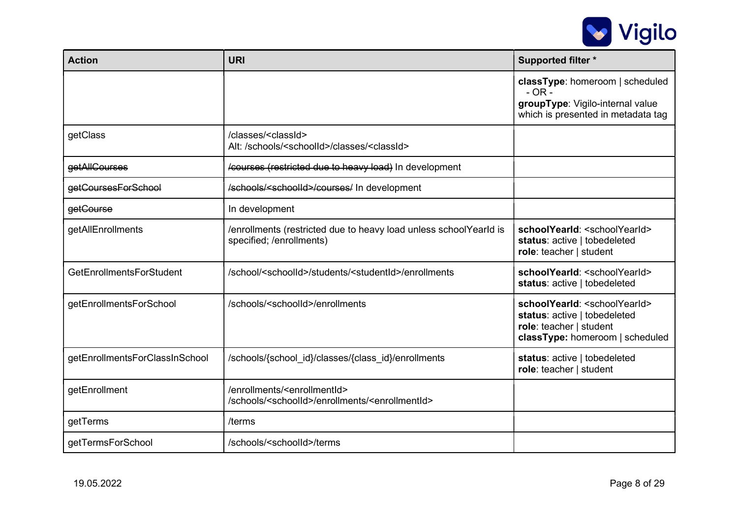

| <b>Action</b>                   | <b>URI</b>                                                                                                               | <b>Supported filter *</b>                                                                                                                    |
|---------------------------------|--------------------------------------------------------------------------------------------------------------------------|----------------------------------------------------------------------------------------------------------------------------------------------|
|                                 |                                                                                                                          | classType: homeroom   scheduled<br>$-$ OR $-$<br>groupType: Vigilo-internal value<br>which is presented in metadata tag                      |
| getClass                        | /classes/ <classid><br/>Alt: /schools/<schoolid>/classes/<classid></classid></schoolid></classid>                        |                                                                                                                                              |
| getAllCourses                   | /courses (restricted due to heavy load) In development                                                                   |                                                                                                                                              |
| getCoursesForSchool             | /schools/ <schoolid>/courses/ In development</schoolid>                                                                  |                                                                                                                                              |
| getCourse                       | In development                                                                                                           |                                                                                                                                              |
| getAllEnrollments               | /enrollments (restricted due to heavy load unless schoolYearld is<br>specified; /enrollments)                            | schoolYearId: <schoolyearid><br/>status: active   tobedeleted<br/>role: teacher   student</schoolyearid>                                     |
| <b>GetEnrollmentsForStudent</b> | /school/ <schoolid>/students/<studentid>/enrollments</studentid></schoolid>                                              | schoolYearId: <schoolyearid><br/>status: active   tobedeleted</schoolyearid>                                                                 |
| getEnrollmentsForSchool         | /schools/ <schoolid>/enrollments</schoolid>                                                                              | schoolYearId: <schoolyearid><br/>status: active   tobedeleted<br/>role: teacher   student<br/>classType: homeroom   scheduled</schoolyearid> |
| getEnrollmentsForClassInSchool  | /schools/{school id}/classes/{class id}/enrollments                                                                      | status: active   tobedeleted<br>role: teacher   student                                                                                      |
| getEnrollment                   | /enrollments/ <enrollmentid><br/>/schools/<schoolid>/enrollments/<enrollmentid></enrollmentid></schoolid></enrollmentid> |                                                                                                                                              |
| getTerms                        | /terms                                                                                                                   |                                                                                                                                              |
| getTermsForSchool               | /schools/ <schoolid>/terms</schoolid>                                                                                    |                                                                                                                                              |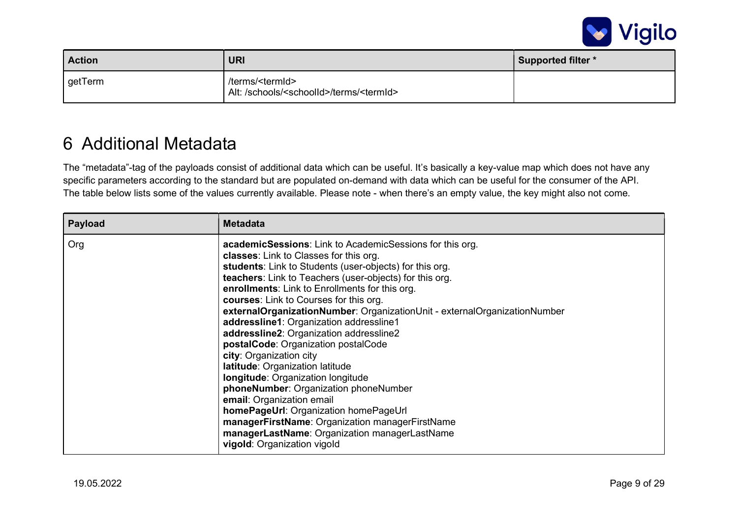

| <b>Action</b> | <b>URI</b>                                                                                | <b>Supported filter *</b> |
|---------------|-------------------------------------------------------------------------------------------|---------------------------|
| getTerm       | /terms/ <termid><br/>Alt: /schools/<schoolld>/terms/<termid></termid></schoolld></termid> |                           |

### 6 Additional Metadata

The "metadata"-tag of the payloads consist of additional data which can be useful. It's basically a key-value map which does not have any specific parameters according to the standard but are populated on-demand with data which can be useful for the consumer of the API. The table below lists some of the values currently available. Please note - when there's an empty value, the key might also not come.

| Payload | <b>Metadata</b>                                                                                                                                                                                                                                                                                                                                                                                                                                                                                                                                                                                                                                                                                                                                                                                                                                                                                          |
|---------|----------------------------------------------------------------------------------------------------------------------------------------------------------------------------------------------------------------------------------------------------------------------------------------------------------------------------------------------------------------------------------------------------------------------------------------------------------------------------------------------------------------------------------------------------------------------------------------------------------------------------------------------------------------------------------------------------------------------------------------------------------------------------------------------------------------------------------------------------------------------------------------------------------|
| Org     | <b>academicSessions:</b> Link to AcademicSessions for this org.<br><b>classes:</b> Link to Classes for this org.<br>students: Link to Students (user-objects) for this org.<br>teachers: Link to Teachers (user-objects) for this org.<br>enrollments: Link to Enrollments for this org.<br>courses: Link to Courses for this org.<br>externalOrganizationNumber: OrganizationUnit - externalOrganizationNumber<br>addressline1: Organization addressline1<br>addressline2: Organization addressline2<br>postalCode: Organization postalCode<br>city: Organization city<br>latitude: Organization latitude<br><b>longitude:</b> Organization longitude<br>phoneNumber: Organization phoneNumber<br>email: Organization email<br>homePageUrl: Organization homePageUrl<br>managerFirstName: Organization managerFirstName<br>managerLastName: Organization managerLastName<br>vigold: Organization vigold |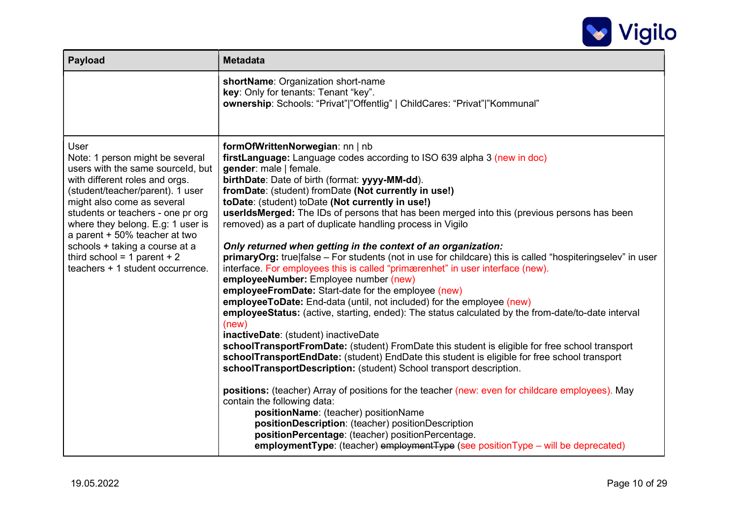

| <b>Payload</b>                                                                                                                                                                                                                                                                                                                                                                                              | <b>Metadata</b>                                                                                                                                                                                                                                                                                                                                                                                                                                                                                                                                                                                                                                                                                                                                                                                                                                                                                                                                                                                                                                                                                                                                                                                                                                                                                                                                                                                                                                                                                                                                                                                                                                                                                                     |  |  |
|-------------------------------------------------------------------------------------------------------------------------------------------------------------------------------------------------------------------------------------------------------------------------------------------------------------------------------------------------------------------------------------------------------------|---------------------------------------------------------------------------------------------------------------------------------------------------------------------------------------------------------------------------------------------------------------------------------------------------------------------------------------------------------------------------------------------------------------------------------------------------------------------------------------------------------------------------------------------------------------------------------------------------------------------------------------------------------------------------------------------------------------------------------------------------------------------------------------------------------------------------------------------------------------------------------------------------------------------------------------------------------------------------------------------------------------------------------------------------------------------------------------------------------------------------------------------------------------------------------------------------------------------------------------------------------------------------------------------------------------------------------------------------------------------------------------------------------------------------------------------------------------------------------------------------------------------------------------------------------------------------------------------------------------------------------------------------------------------------------------------------------------------|--|--|
|                                                                                                                                                                                                                                                                                                                                                                                                             | shortName: Organization short-name<br>key: Only for tenants: Tenant "key".<br>ownership: Schools: "Privat" "Offentlig"   ChildCares: "Privat" "Kommunal"                                                                                                                                                                                                                                                                                                                                                                                                                                                                                                                                                                                                                                                                                                                                                                                                                                                                                                                                                                                                                                                                                                                                                                                                                                                                                                                                                                                                                                                                                                                                                            |  |  |
| <b>User</b><br>Note: 1 person might be several<br>users with the same sourceld, but<br>with different roles and orgs.<br>(student/teacher/parent). 1 user<br>might also come as several<br>students or teachers - one pr org<br>where they belong. E.g: 1 user is<br>a parent + 50% teacher at two<br>schools + taking a course at a<br>third school = $1$ parent + $2$<br>teachers + 1 student occurrence. | formOfWrittenNorwegian: nn   nb<br>firstLanguage: Language codes according to ISO 639 alpha 3 (new in doc)<br>gender: male   female.<br>birthDate: Date of birth (format: yyyy-MM-dd).<br>fromDate: (student) fromDate (Not currently in use!)<br>toDate: (student) toDate (Not currently in use!)<br>userIdsMerged: The IDs of persons that has been merged into this (previous persons has been<br>removed) as a part of duplicate handling process in Vigilo<br>Only returned when getting in the context of an organization:<br>primaryOrg: true false - For students (not in use for childcare) this is called "hospiteringselev" in user<br>interface. For employees this is called "primærenhet" in user interface (new).<br>employeeNumber: Employee number (new)<br>employeeFromDate: Start-date for the employee (new)<br>employeeToDate: End-data (until, not included) for the employee (new)<br>employeeStatus: (active, starting, ended): The status calculated by the from-date/to-date interval<br>(new)<br>inactiveDate: (student) inactiveDate<br>schoolTransportFromDate: (student) FromDate this student is eligible for free school transport<br>schoolTransportEndDate: (student) EndDate this student is eligible for free school transport<br>schoolTransportDescription: (student) School transport description.<br>positions: (teacher) Array of positions for the teacher (new: even for childcare employees). May<br>contain the following data:<br>positionName: (teacher) positionName<br>positionDescription: (teacher) positionDescription<br>positionPercentage: (teacher) positionPercentage.<br>employmentType: (teacher) employmentType (see positionType – will be deprecated) |  |  |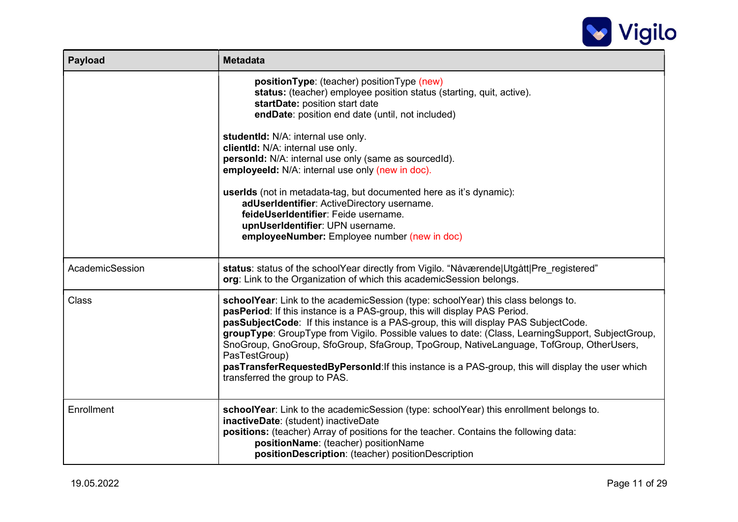

| <b>Payload</b>  | <b>Metadata</b>                                                                                                                                                                                                                                                                                                                                                                                                                                                                                                                                                                                              |  |  |
|-----------------|--------------------------------------------------------------------------------------------------------------------------------------------------------------------------------------------------------------------------------------------------------------------------------------------------------------------------------------------------------------------------------------------------------------------------------------------------------------------------------------------------------------------------------------------------------------------------------------------------------------|--|--|
|                 | positionType: (teacher) positionType (new)<br>status: (teacher) employee position status (starting, quit, active).<br>startDate: position start date<br>endDate: position end date (until, not included)<br>studentid: N/A: internal use only.<br>clientId: N/A: internal use only.<br>personId: N/A: internal use only (same as sourcedId).<br>employeeld: N/A: internal use only (new in doc).<br>userlds (not in metadata-tag, but documented here as it's dynamic):<br>adUserIdentifier: ActiveDirectory username.<br>feideUserIdentifier: Feide username.<br>upnUserIdentifier: UPN username.           |  |  |
|                 | employeeNumber: Employee number (new in doc)                                                                                                                                                                                                                                                                                                                                                                                                                                                                                                                                                                 |  |  |
| AcademicSession | status: status of the schoolYear directly from Vigilo. "Nåværende Utgått Pre_registered"<br>org: Link to the Organization of which this academicSession belongs.                                                                                                                                                                                                                                                                                                                                                                                                                                             |  |  |
| Class           | schoolYear: Link to the academicSession (type: schoolYear) this class belongs to.<br>pasPeriod: If this instance is a PAS-group, this will display PAS Period.<br>pasSubjectCode: If this instance is a PAS-group, this will display PAS SubjectCode.<br>groupType: GroupType from Vigilo. Possible values to date: (Class, LearningSupport, SubjectGroup,<br>SnoGroup, GnoGroup, SfoGroup, SfaGroup, TpoGroup, NativeLanguage, TofGroup, OtherUsers,<br>PasTestGroup)<br>pasTransferRequestedByPersonId: If this instance is a PAS-group, this will display the user which<br>transferred the group to PAS. |  |  |
| Enrollment      | schoolYear: Link to the academicSession (type: schoolYear) this enrollment belongs to.<br>inactiveDate: (student) inactiveDate<br>positions: (teacher) Array of positions for the teacher. Contains the following data:<br>positionName: (teacher) positionName<br>positionDescription: (teacher) positionDescription                                                                                                                                                                                                                                                                                        |  |  |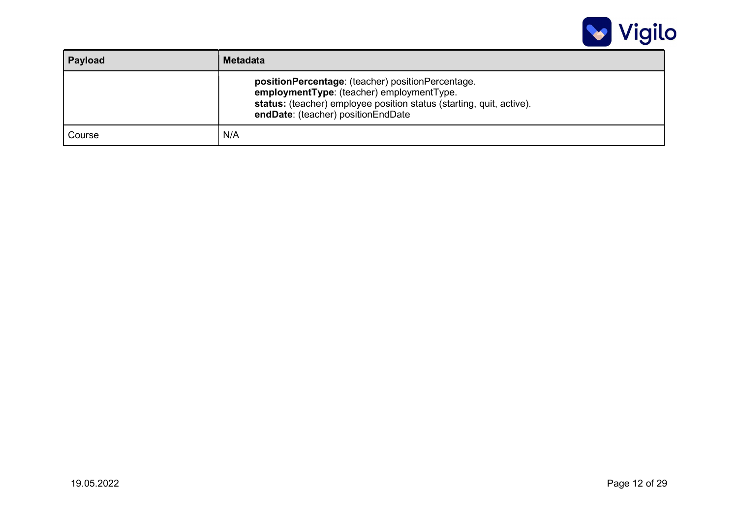

| Payload | <b>Metadata</b>                                                                                                                                                                                              |  |
|---------|--------------------------------------------------------------------------------------------------------------------------------------------------------------------------------------------------------------|--|
|         | positionPercentage: (teacher) positionPercentage.<br>employmentType: (teacher) employmentType.<br>status: (teacher) employee position status (starting, quit, active).<br>endDate: (teacher) positionEndDate |  |
| Course  | N/A                                                                                                                                                                                                          |  |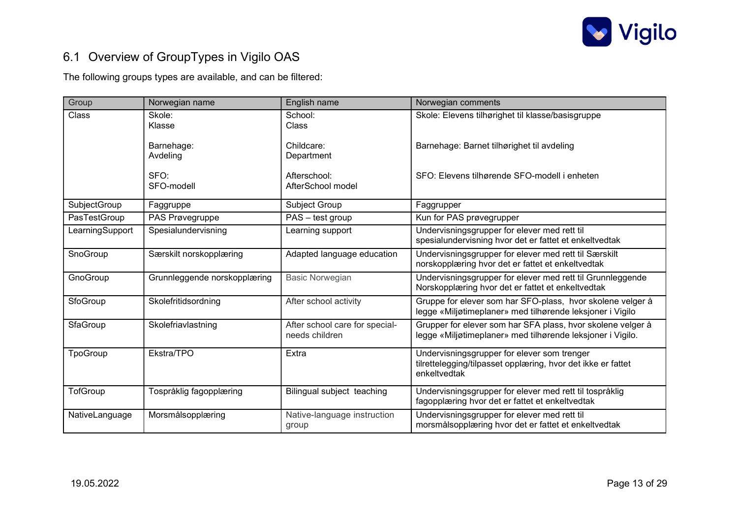

### 6.1 Overview of GroupTypes in Vigilo OAS

The following groups types are available, and can be filtered:

| Group           | Norwegian name               | English name                                     | Norwegian comments                                                                                                          |
|-----------------|------------------------------|--------------------------------------------------|-----------------------------------------------------------------------------------------------------------------------------|
| Class           | Skole:<br>Klasse             | School:<br>Class                                 | Skole: Elevens tilhørighet til klasse/basisgruppe                                                                           |
|                 | Barnehage:<br>Avdeling       | Childcare:<br>Department                         | Barnehage: Barnet tilhørighet til avdeling                                                                                  |
|                 | SFO:<br>SFO-modell           | Afterschool:<br>AfterSchool model                | SFO: Elevens tilhørende SFO-modell i enheten                                                                                |
| SubjectGroup    | Faggruppe                    | Subject Group                                    | Faggrupper                                                                                                                  |
| PasTestGroup    | PAS Prøvegruppe              | PAS - test group                                 | Kun for PAS prøvegrupper                                                                                                    |
| LearningSupport | Spesialundervisning          | Learning support                                 | Undervisningsgrupper for elever med rett til<br>spesialundervisning hvor det er fattet et enkeltvedtak                      |
| SnoGroup        | Særskilt norskopplæring      | Adapted language education                       | Undervisningsgrupper for elever med rett til Særskilt<br>norskopplæring hvor det er fattet et enkeltvedtak                  |
| GnoGroup        | Grunnleggende norskopplæring | <b>Basic Norwegian</b>                           | Undervisningsgrupper for elever med rett til Grunnleggende<br>Norskopplæring hvor det er fattet et enkeltvedtak             |
| SfoGroup        | Skolefritidsordning          | After school activity                            | Gruppe for elever som har SFO-plass, hvor skolene velger å<br>legge «Miljøtimeplaner» med tilhørende leksjoner i Vigilo     |
| SfaGroup        | Skolefriavlastning           | After school care for special-<br>needs children | Grupper for elever som har SFA plass, hvor skolene velger å<br>legge «Miljøtimeplaner» med tilhørende leksjoner i Vigilo.   |
| TpoGroup        | Ekstra/TPO                   | Extra                                            | Undervisningsgrupper for elever som trenger<br>tilrettelegging/tilpasset opplæring, hvor det ikke er fattet<br>enkeltvedtak |
| TofGroup        | Tospråklig fagopplæring      | Bilingual subject teaching                       | Undervisningsgrupper for elever med rett til tospråklig<br>fagopplæring hvor det er fattet et enkeltvedtak                  |
| NativeLanguage  | Morsmålsopplæring            | Native-language instruction<br>group             | Undervisningsgrupper for elever med rett til<br>morsmålsopplæring hvor det er fattet et enkeltvedtak                        |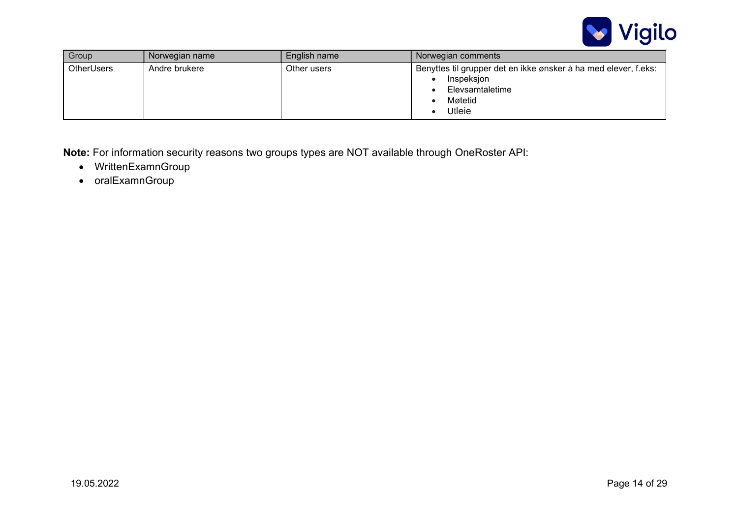

| Group             | Norwegian name | English name | Norwegian comments                                                                                                    |
|-------------------|----------------|--------------|-----------------------------------------------------------------------------------------------------------------------|
| <b>OtherUsers</b> | Andre brukere  | Other users  | Benyttes til grupper det en ikke ønsker å ha med elever, f.eks:<br>Inspeksjon<br>Elevsamtaletime<br>Møtetid<br>Utleie |

Note: For information security reasons two groups types are NOT available through OneRoster API:

- WrittenExamnGroup
- oralExamnGroup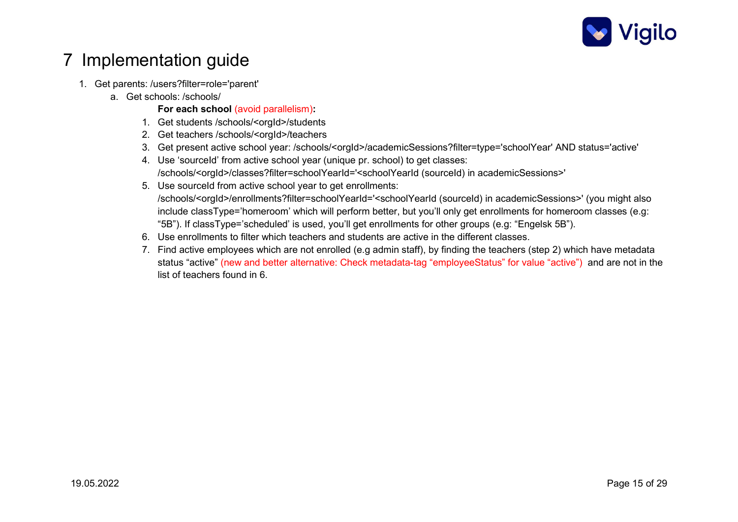

### 7 Implementation guide

- 1. Get parents: /users?filter=role='parent'
	- a. Get schools: /schools/

For each school (avoid parallelism):

- 1. Get students /schools/<orgId>/students
- 2. Get teachers /schools/<orgId>/teachers
- 3. Get present active school year: /schools/<orgId>/academicSessions?filter=type='schoolYear' AND status='active'
- 4. Use 'sourceId' from active school year (unique pr. school) to get classes: /schools/<orgId>/classes?filter=schoolYearId='<schoolYearId (sourceId) in academicSessions>'
- 5. Use sourceId from active school year to get enrollments: /schools/<orgId>/enrollments?filter=schoolYearId='<schoolYearId (sourceId) in academicSessions>' (you might also include classType='homeroom' which will perform better, but you'll only get enrollments for homeroom classes (e.g: "5B"). If classType='scheduled' is used, you'll get enrollments for other groups (e.g: "Engelsk 5B").
- 6. Use enrollments to filter which teachers and students are active in the different classes.
- 7. Find active employees which are not enrolled (e.g admin staff), by finding the teachers (step 2) which have metadata status "active" (new and better alternative: Check metadata-tag "employeeStatus" for value "active") and are not in the list of teachers found in 6.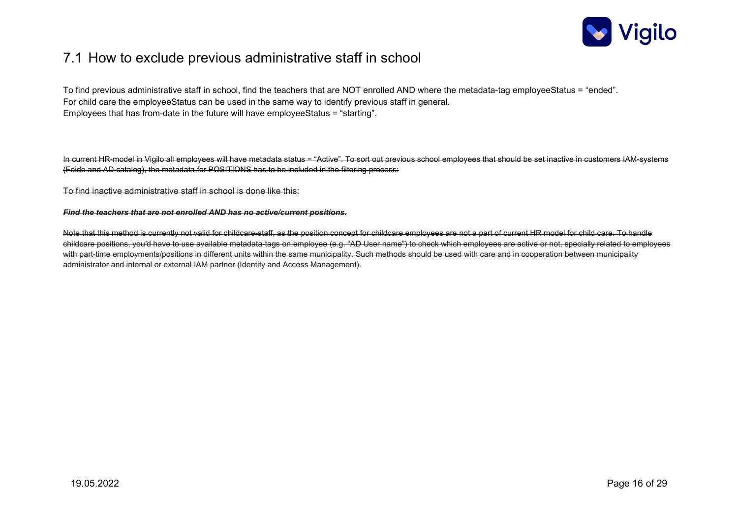

### 7.1 How to exclude previous administrative staff in school

To find previous administrative staff in school, find the teachers that are NOT enrolled AND where the metadata-tag employeeStatus = "ended". For child care the employeeStatus can be used in the same way to identify previous staff in general. Employees that has from-date in the future will have employeeStatus = "starting".

In current HR-model in Vigilo all employees will have metadata status = "Active". To sort out previous school employees that should be set inactive in customers IAM-systems (Feide and AD catalog), the metadata for POSITIONS has to be included in the filtering process:

To find inactive administrative staff in school is done like this:

#### Find the teachers that are not enrolled AND has no active/current positions.

Note that this method is currently not valid for childcare-staff, as the position concept for childcare employees are not a part of current HR model for child care. To handle childcare positions, you'd have to use available metadata-tags on employee (e.g. "AD User name") to check which employees are active or not, specially related to employees with part-time employments/positions in different units within the same municipality. Such methods should be used with care and in cooperation between municipality administrator and internal or external IAM partner (Identity and Access Management).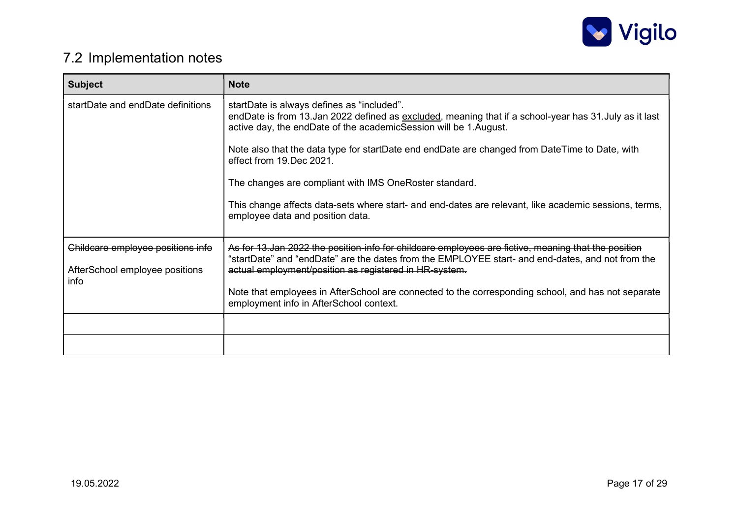

### 7.2 Implementation notes

| <b>Subject</b>                                                              | <b>Note</b>                                                                                                                                                                                                                                                        |
|-----------------------------------------------------------------------------|--------------------------------------------------------------------------------------------------------------------------------------------------------------------------------------------------------------------------------------------------------------------|
| startDate and endDate definitions                                           | startDate is always defines as "included".<br>endDate is from 13.Jan 2022 defined as excluded, meaning that if a school-year has 31.July as it last<br>active day, the endDate of the academicSession will be 1. August.                                           |
|                                                                             | Note also that the data type for startDate end endDate are changed from DateTime to Date, with<br>effect from 19. Dec 2021.                                                                                                                                        |
|                                                                             | The changes are compliant with IMS OneRoster standard.                                                                                                                                                                                                             |
|                                                                             | This change affects data-sets where start- and end-dates are relevant, like academic sessions, terms,<br>employee data and position data.                                                                                                                          |
| Childcare employee positions info<br>AfterSchool employee positions<br>info | As for 13, Jan 2022 the position-info for childcare employees are fictive, meaning that the position<br>"startDate" and "endDate" are the dates from the EMPLOYEE start- and end-dates, and not from the<br>actual employment/position as registered in HR-system. |
|                                                                             | Note that employees in AfterSchool are connected to the corresponding school, and has not separate<br>employment info in AfterSchool context.                                                                                                                      |
|                                                                             |                                                                                                                                                                                                                                                                    |
|                                                                             |                                                                                                                                                                                                                                                                    |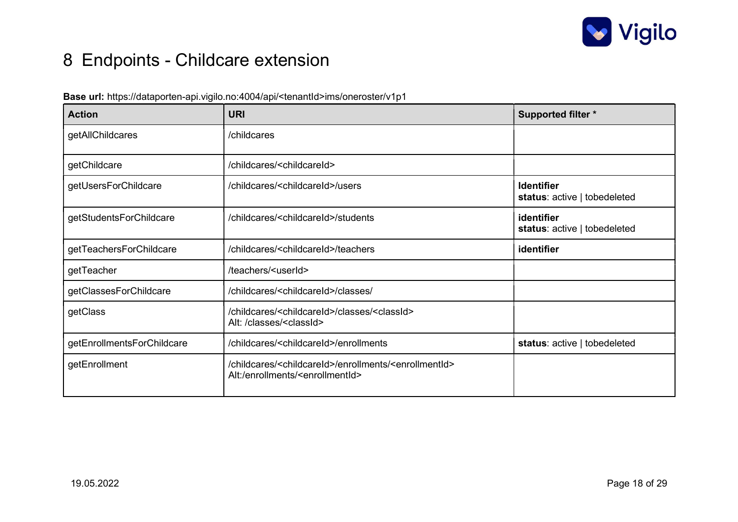

# 8 Endpoints - Childcare extension

#### Base url: https://dataporten-api.vigilo.no:4004/api/<tenantId>ims/oneroster/v1p1

| <b>Action</b>              | URI                                                                                                                                   | <b>Supported filter *</b>                         |
|----------------------------|---------------------------------------------------------------------------------------------------------------------------------------|---------------------------------------------------|
| getAllChildcares           | /childcares                                                                                                                           |                                                   |
| getChildcare               | /childcares/ <childcareid></childcareid>                                                                                              |                                                   |
| getUsersForChildcare       | /childcares/ <childcareid>/users</childcareid>                                                                                        | <b>Identifier</b><br>status: active   tobedeleted |
| getStudentsForChildcare    | /childcares/ <childcareid>/students</childcareid>                                                                                     | identifier<br>status: active   tobedeleted        |
| getTeachersForChildcare    | /childcares/ <childcareid>/teachers</childcareid>                                                                                     | identifier                                        |
| getTeacher                 | /teachers/ <userid></userid>                                                                                                          |                                                   |
| getClassesForChildcare     | /childcares/ <childcareid>/classes/</childcareid>                                                                                     |                                                   |
| getClass                   | /childcares/ <childcareid>/classes/<classid><br/>Alt: /classes/<classid></classid></classid></childcareid>                            |                                                   |
| getEnrollmentsForChildcare | /childcares/ <childcareid>/enrollments</childcareid>                                                                                  | status: active   tobedeleted                      |
| getEnrollment              | /childcares/ <childcareid>/enrollments/<enrollmentid><br/>Alt:/enrollments/<enrollmentid></enrollmentid></enrollmentid></childcareid> |                                                   |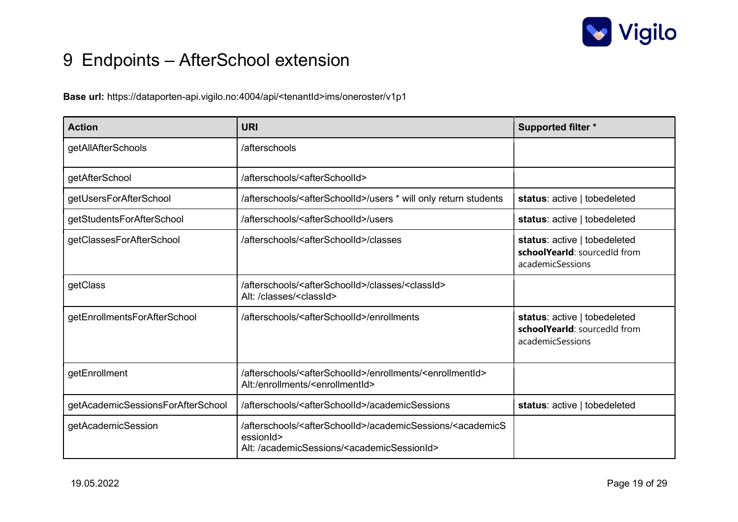

# 9 Endpoints – AfterSchool extension

Base url: https://dataporten-api.vigilo.no:4004/api/<tenantId>ims/oneroster/v1p1

| <b>Action</b>                     | <b>URI</b>                                                                                                                                                                   | <b>Supported filter *</b>                                                        |
|-----------------------------------|------------------------------------------------------------------------------------------------------------------------------------------------------------------------------|----------------------------------------------------------------------------------|
| getAllAfterSchools                | /afterschools                                                                                                                                                                |                                                                                  |
| getAfterSchool                    | /afterschools/ <afterschoolid></afterschoolid>                                                                                                                               |                                                                                  |
| getUsersForAfterSchool            | /afterschools/ <afterschoolid>/users * will only return students</afterschoolid>                                                                                             | status: active   tobedeleted                                                     |
| getStudentsForAfterSchool         | /afterschools/ <afterschoolid>/users</afterschoolid>                                                                                                                         | status: active   tobedeleted                                                     |
| getClassesForAfterSchool          | /afterschools/ <afterschoolid>/classes</afterschoolid>                                                                                                                       | status: active   tobedeleted<br>schoolYearld: sourcedid from<br>academicSessions |
| getClass                          | /afterschools/ <afterschoolid>/classes/<classid><br/>Alt: /classes/<classid></classid></classid></afterschoolid>                                                             |                                                                                  |
| getEnrollmentsForAfterSchool      | /afterschools/ <afterschoolid>/enrollments</afterschoolid>                                                                                                                   | status: active   tobedeleted<br>schoolYearld: sourcedid from<br>academicSessions |
| getEnrollment                     | /afterschools/ <afterschoolid>/enrollments/<enrollmentid><br/>Alt:/enrollments/<enrollmentid></enrollmentid></enrollmentid></afterschoolid>                                  |                                                                                  |
| getAcademicSessionsForAfterSchool | /afterschools/ <afterschoolid>/academicSessions</afterschoolid>                                                                                                              | status: active   tobedeleted                                                     |
| getAcademicSession                | /afterschools/ <afterschoolid>/academicSessions/<academics<br>essionId&gt;<br/>Alt: /academicSessions/<academicsessionid></academicsessionid></academics<br></afterschoolid> |                                                                                  |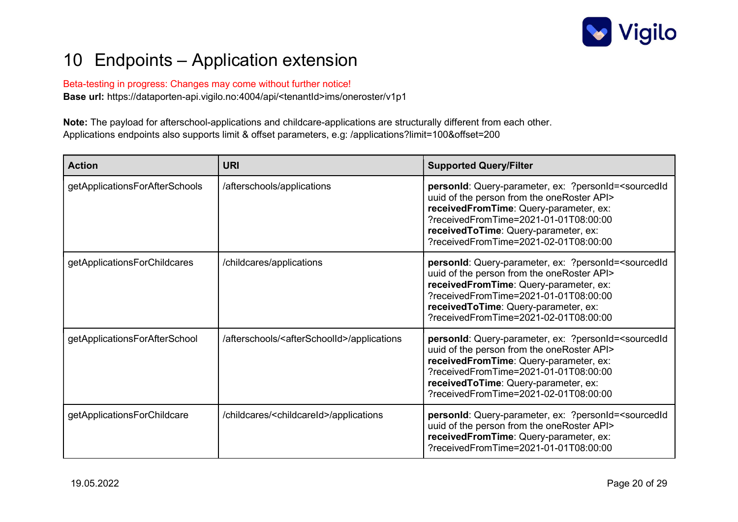

# 10 Endpoints – Application extension

Beta-testing in progress: Changes may come without further notice! Base url: https://dataporten-api.vigilo.no:4004/api/<tenantId>ims/oneroster/v1p1

Note: The payload for afterschool-applications and childcare-applications are structurally different from each other. Applications endpoints also supports limit & offset parameters, e.g: /applications?limit=100&offset=200

| <b>Action</b>                  | <b>URI</b>                                                  | <b>Supported Query/Filter</b>                                                                                                                                                                                                                                                                  |
|--------------------------------|-------------------------------------------------------------|------------------------------------------------------------------------------------------------------------------------------------------------------------------------------------------------------------------------------------------------------------------------------------------------|
| getApplicationsForAfterSchools | /afterschools/applications                                  | personId: Query-parameter, ex: ?personId= <sourcedid<br>uuid of the person from the oneRoster API&gt;<br/>receivedFromTime: Query-parameter, ex:<br/>?receivedFromTime=2021-01-01T08:00:00<br/>receivedToTime: Query-parameter, ex:<br/>?receivedFromTime=2021-02-01T08:00:00</sourcedid<br>   |
| getApplicationsForChildcares   | /childcares/applications                                    | personid: Query-parameter, ex: ?personid= <sourcedid<br>uuid of the person from the oneRoster API&gt;<br/>receivedFromTime: Query-parameter, ex:<br/>?receivedFromTime=2021-01-01T08:00:00<br/>receivedToTime: Query-parameter, ex:<br/>?receivedFromTime=2021-02-01T08:00:00</sourcedid<br>   |
| getApplicationsForAfterSchool  | /afterschools/ <afterschoolid>/applications</afterschoolid> | personid: Query-parameter, ex: ?personid= <sourcedid<br>uuid of the person from the oneRoster API&gt;<br/>receivedFromTime: Query-parameter, ex:<br/>?receivedFromTime=2021-01-01T08:00:00<br/>received To Time: Query-parameter, ex:<br/>?receivedFromTime=2021-02-01T08:00:00</sourcedid<br> |
| getApplicationsForChildcare    | /childcares/ <childcareid>/applications</childcareid>       | personid: Query-parameter, ex: ?personid= <sourcedid<br>uuid of the person from the oneRoster API&gt;<br/>receivedFromTime: Query-parameter, ex:<br/>?receivedFromTime=2021-01-01T08:00:00</sourcedid<br>                                                                                      |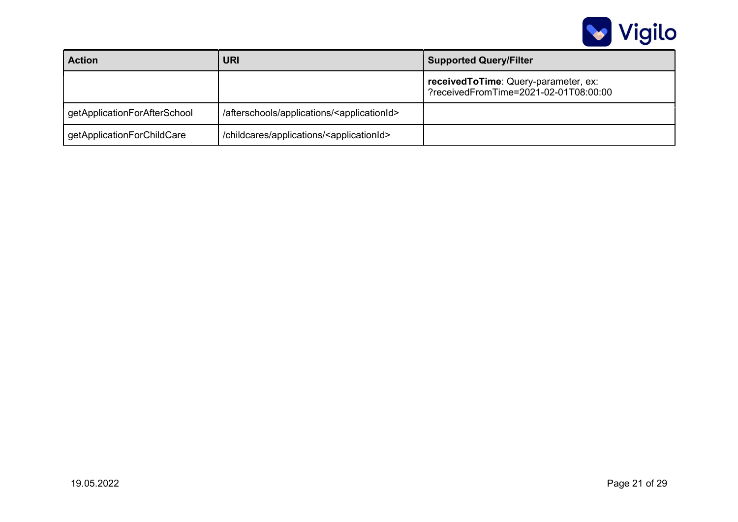

| <b>Action</b>                | <b>URI</b>                                                  | <b>Supported Query/Filter</b>                                                   |
|------------------------------|-------------------------------------------------------------|---------------------------------------------------------------------------------|
|                              |                                                             | received To Time: Query-parameter, ex:<br>?receivedFromTime=2021-02-01T08:00:00 |
| getApplicationForAfterSchool | /afterschools/applications/ <applicationid></applicationid> |                                                                                 |
| getApplicationForChildCare   | /childcares/applications/ <applicationid></applicationid>   |                                                                                 |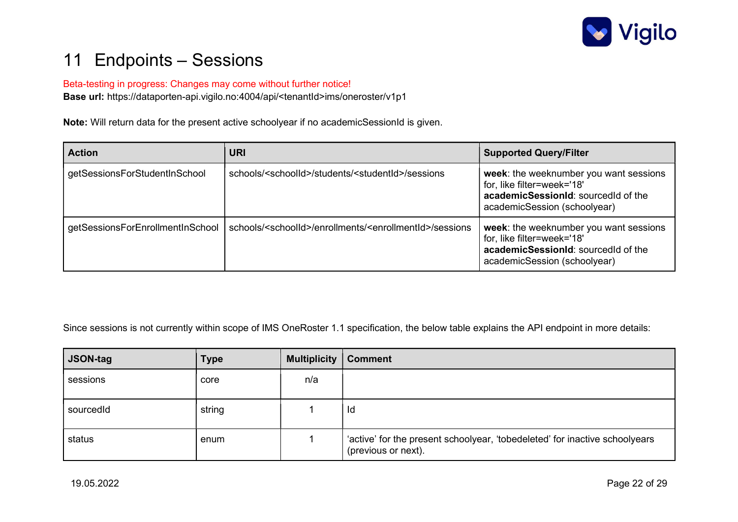

### 11 Endpoints – Sessions

#### Beta-testing in progress: Changes may come without further notice!

Base url: https://dataporten-api.vigilo.no:4004/api/<tenantId>ims/oneroster/v1p1

Note: Will return data for the present active schoolyear if no academicSessionId is given.

| <b>Action</b>                    | <b>URI</b>                                                                        | <b>Supported Query/Filter</b>                                                                                                               |
|----------------------------------|-----------------------------------------------------------------------------------|---------------------------------------------------------------------------------------------------------------------------------------------|
| getSessionsForStudentInSchool    | schools/ <schoolld>/students/<studentid>/sessions</studentid></schoolld>          | week: the weeknumber you want sessions<br>for, like filter=week='18'<br>academicSessionId: sourcedId of the<br>academicSession (schoolyear) |
| getSessionsForEnrollmentInSchool | schools/ <schoolid>/enrollments/<enrollmentid>/sessions</enrollmentid></schoolid> | week: the weeknumber you want sessions<br>for, like filter=week='18'<br>academicSessionId: sourcedId of the<br>academicSession (schoolyear) |

Since sessions is not currently within scope of IMS OneRoster 1.1 specification, the below table explains the API endpoint in more details:

| <b>JSON-tag</b> | <b>Type</b> | <b>Multiplicity</b> | <b>Comment</b>                                                                                     |
|-----------------|-------------|---------------------|----------------------------------------------------------------------------------------------------|
| sessions        | core        | n/a                 |                                                                                                    |
| sourcedId       | string      |                     | Id                                                                                                 |
| status          | enum        |                     | 'active' for the present schoolyear, 'tobedeleted' for inactive schoolyears<br>(previous or next). |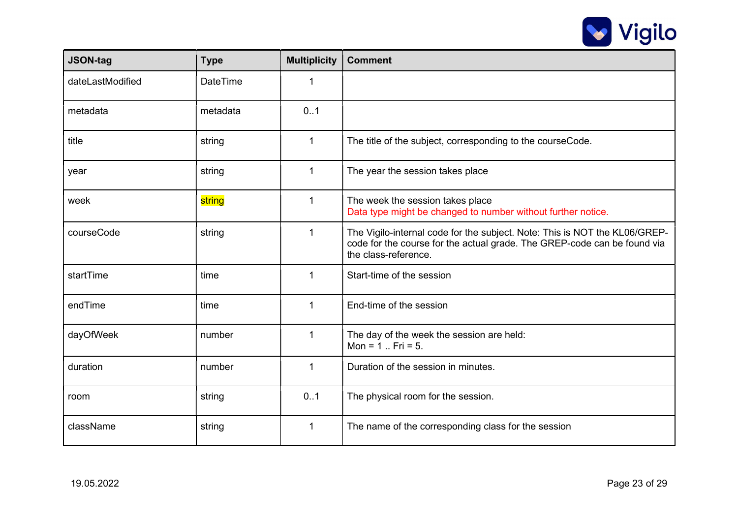

| <b>JSON-tag</b>  | <b>Type</b>     | <b>Multiplicity</b> | <b>Comment</b>                                                                                                                                                                 |
|------------------|-----------------|---------------------|--------------------------------------------------------------------------------------------------------------------------------------------------------------------------------|
| dateLastModified | <b>DateTime</b> | 1                   |                                                                                                                                                                                |
| metadata         | metadata        | 0.1                 |                                                                                                                                                                                |
| title            | string          | $\mathbf{1}$        | The title of the subject, corresponding to the courseCode.                                                                                                                     |
| year             | string          | 1                   | The year the session takes place                                                                                                                                               |
| week             | string          | 1                   | The week the session takes place<br>Data type might be changed to number without further notice.                                                                               |
| courseCode       | string          | 1                   | The Vigilo-internal code for the subject. Note: This is NOT the KL06/GREP-<br>code for the course for the actual grade. The GREP-code can be found via<br>the class-reference. |
| startTime        | time            | 1                   | Start-time of the session                                                                                                                                                      |
| endTime          | time            | $\mathbf{1}$        | End-time of the session                                                                                                                                                        |
| dayOfWeek        | number          | $\mathbf{1}$        | The day of the week the session are held:<br>Mon = $1$ Fri = $5$ .                                                                                                             |
| duration         | number          | $\mathbf{1}$        | Duration of the session in minutes.                                                                                                                                            |
| room             | string          | 0.1                 | The physical room for the session.                                                                                                                                             |
| className        | string          | $\mathbf{1}$        | The name of the corresponding class for the session                                                                                                                            |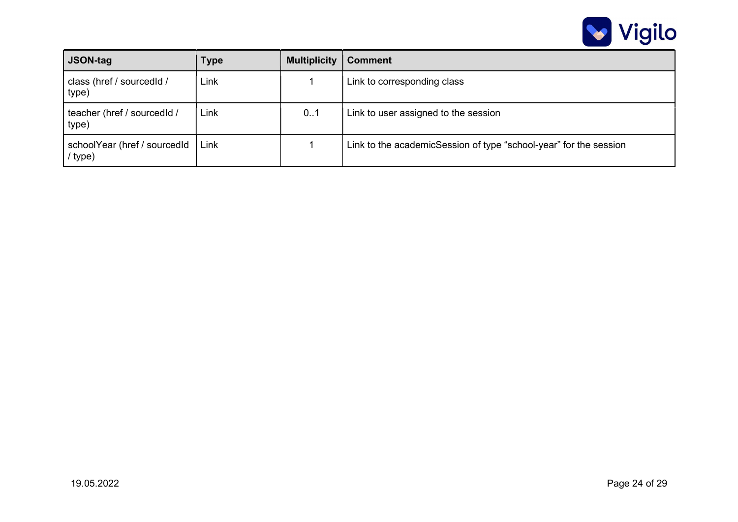

| <b>JSON-tag</b>                         | Type | <b>Multiplicity</b> | <b>Comment</b>                                                    |
|-----------------------------------------|------|---------------------|-------------------------------------------------------------------|
| class (href / sourcedid /<br>type)      | Link |                     | Link to corresponding class                                       |
| teacher (href / sourcedId /<br>type)    | Link | 0.1                 | Link to user assigned to the session                              |
| schoolYear (href / sourcedId<br>/ type) | Link |                     | Link to the academicSession of type "school-year" for the session |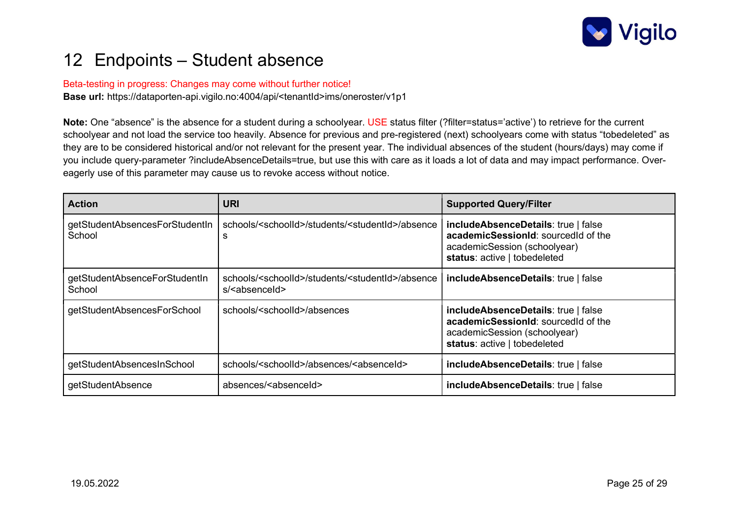

### 12 Endpoints – Student absence

#### Beta-testing in progress: Changes may come without further notice!

Base url: https://dataporten-api.vigilo.no:4004/api/<tenantId>ims/oneroster/v1p1

Note: One "absence" is the absence for a student during a schoolyear. USE status filter (?filter=status='active') to retrieve for the current schoolyear and not load the service too heavily. Absence for previous and pre-registered (next) schoolyears come with status "tobedeleted" as they are to be considered historical and/or not relevant for the present year. The individual absences of the student (hours/days) may come if you include query-parameter ?includeAbsenceDetails=true, but use this with care as it loads a lot of data and may impact performance. Overeagerly use of this parameter may cause us to revoke access without notice.

| <b>Action</b>                            | URI                                                                                                   | <b>Supported Query/Filter</b>                                                                                                              |
|------------------------------------------|-------------------------------------------------------------------------------------------------------|--------------------------------------------------------------------------------------------------------------------------------------------|
| getStudentAbsencesForStudentIn<br>School | schools/ <schoolid>/students/<studentid>/absence<br/>s</studentid></schoolid>                         | includeAbsenceDetails: true   false<br>academicSessionId: sourcedId of the<br>academicSession (schoolyear)<br>status: active   tobedeleted |
| getStudentAbsenceForStudentIn<br>School  | schools/ <schoolid>/students/<studentid>/absence<br/>s/<absenceid></absenceid></studentid></schoolid> | includeAbsenceDetails: true   false                                                                                                        |
| getStudentAbsencesForSchool              | schools/ <schoolid>/absences</schoolid>                                                               | includeAbsenceDetails: true   false<br>academicSessionId: sourcedId of the<br>academicSession (schoolyear)<br>status: active   tobedeleted |
| getStudentAbsencesInSchool               | schools/ <schoolid>/absences/<absenceid></absenceid></schoolid>                                       | includeAbsenceDetails: true   false                                                                                                        |
| getStudentAbsence                        | absences/ <absenceid></absenceid>                                                                     | includeAbsenceDetails: true   false                                                                                                        |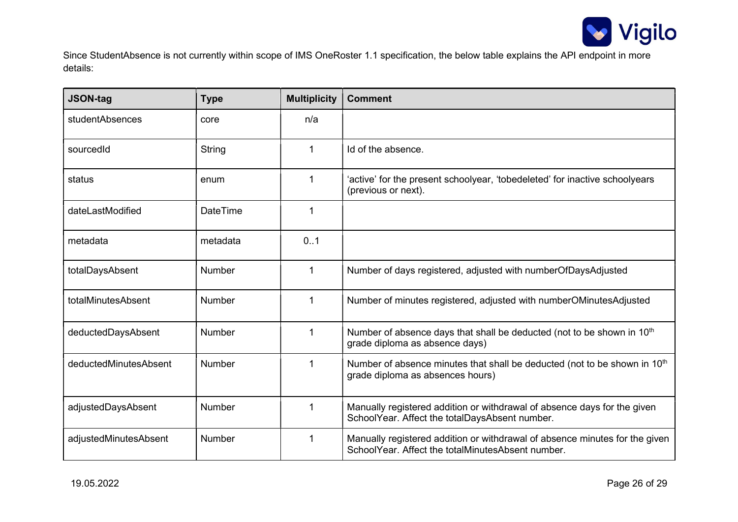

Since StudentAbsence is not currently within scope of IMS OneRoster 1.1 specification, the below table explains the API endpoint in more details:

| <b>JSON-tag</b>       | <b>Type</b>     | <b>Multiplicity</b> | <b>Comment</b>                                                                                                                   |
|-----------------------|-----------------|---------------------|----------------------------------------------------------------------------------------------------------------------------------|
| studentAbsences       | core            | n/a                 |                                                                                                                                  |
| sourcedId             | String          | 1                   | Id of the absence.                                                                                                               |
| status                | enum            | 1                   | 'active' for the present schoolyear, 'tobedeleted' for inactive schoolyears<br>(previous or next).                               |
| dateLastModified      | <b>DateTime</b> | $\mathbf{1}$        |                                                                                                                                  |
| metadata              | metadata        | 0.1                 |                                                                                                                                  |
| totalDaysAbsent       | <b>Number</b>   | $\mathbf{1}$        | Number of days registered, adjusted with numberOfDaysAdjusted                                                                    |
| totalMinutesAbsent    | <b>Number</b>   | $\mathbf{1}$        | Number of minutes registered, adjusted with numberOMinutesAdjusted                                                               |
| deductedDaysAbsent    | <b>Number</b>   | 1                   | Number of absence days that shall be deducted (not to be shown in 10 <sup>th</sup><br>grade diploma as absence days)             |
| deductedMinutesAbsent | <b>Number</b>   | 1                   | Number of absence minutes that shall be deducted (not to be shown in 10 <sup>th</sup><br>grade diploma as absences hours)        |
| adjustedDaysAbsent    | Number          | 1                   | Manually registered addition or withdrawal of absence days for the given<br>SchoolYear. Affect the totalDaysAbsent number.       |
| adjustedMinutesAbsent | <b>Number</b>   | 1                   | Manually registered addition or withdrawal of absence minutes for the given<br>SchoolYear, Affect the totalMinutesAbsent number. |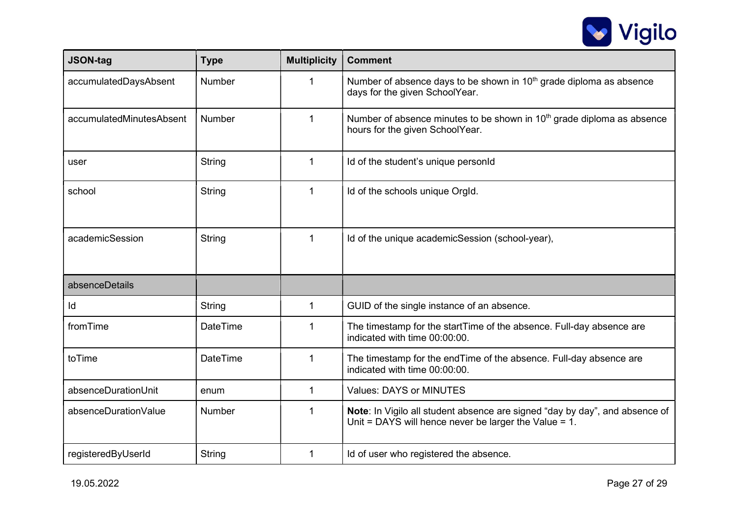

| <b>JSON-tag</b>          | <b>Type</b>     | <b>Multiplicity</b> | <b>Comment</b>                                                                                                                          |
|--------------------------|-----------------|---------------------|-----------------------------------------------------------------------------------------------------------------------------------------|
| accumulatedDaysAbsent    | Number          | 1                   | Number of absence days to be shown in 10 <sup>th</sup> grade diploma as absence<br>days for the given SchoolYear.                       |
| accumulatedMinutesAbsent | <b>Number</b>   | $\mathbf 1$         | Number of absence minutes to be shown in $10th$ grade diploma as absence<br>hours for the given SchoolYear.                             |
| user                     | String          | $\mathbf{1}$        | Id of the student's unique personId                                                                                                     |
| school                   | String          | $\mathbf{1}$        | Id of the schools unique OrgId.                                                                                                         |
| academicSession          | String          | $\mathbf{1}$        | Id of the unique academicSession (school-year),                                                                                         |
| absenceDetails           |                 |                     |                                                                                                                                         |
| ld                       | String          | $\mathbf 1$         | GUID of the single instance of an absence.                                                                                              |
| fromTime                 | <b>DateTime</b> | 1                   | The timestamp for the startTime of the absence. Full-day absence are<br>indicated with time 00:00:00.                                   |
| toTime                   | <b>DateTime</b> | 1                   | The timestamp for the endTime of the absence. Full-day absence are<br>indicated with time 00:00:00.                                     |
| absenceDurationUnit      | enum            | 1                   | <b>Values: DAYS or MINUTES</b>                                                                                                          |
| absenceDurationValue     | <b>Number</b>   | 1                   | Note: In Vigilo all student absence are signed "day by day", and absence of<br>Unit = DAYS will hence never be larger the Value = $1$ . |
| registeredByUserId       | <b>String</b>   | 1                   | Id of user who registered the absence.                                                                                                  |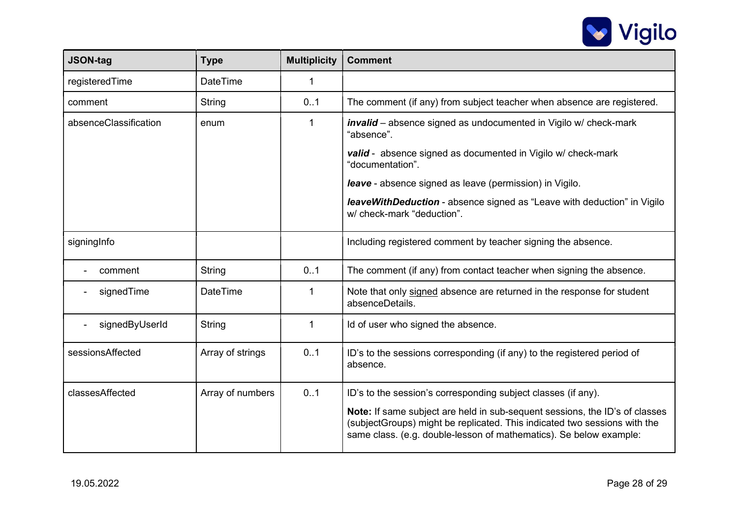

| <b>JSON-tag</b>       | <b>Type</b>      | <b>Multiplicity</b> | <b>Comment</b>                                                                                                                                                                                                                 |
|-----------------------|------------------|---------------------|--------------------------------------------------------------------------------------------------------------------------------------------------------------------------------------------------------------------------------|
| registeredTime        | <b>DateTime</b>  | $\mathbf 1$         |                                                                                                                                                                                                                                |
| comment               | String           | 0.1                 | The comment (if any) from subject teacher when absence are registered.                                                                                                                                                         |
| absenceClassification | enum             | 1                   | <b>invalid</b> – absence signed as undocumented in Vigilo w/ check-mark<br>"absence".                                                                                                                                          |
|                       |                  |                     | valid - absence signed as documented in Vigilo w/ check-mark<br>"documentation".                                                                                                                                               |
|                       |                  |                     | <b>leave</b> - absence signed as leave (permission) in Vigilo.                                                                                                                                                                 |
|                       |                  |                     | leaveWithDeduction - absence signed as "Leave with deduction" in Vigilo<br>w/ check-mark "deduction".                                                                                                                          |
| signingInfo           |                  |                     | Including registered comment by teacher signing the absence.                                                                                                                                                                   |
| comment               | String           | 0.1                 | The comment (if any) from contact teacher when signing the absence.                                                                                                                                                            |
| signedTime            | <b>DateTime</b>  | 1                   | Note that only signed absence are returned in the response for student<br>absenceDetails.                                                                                                                                      |
| signedByUserId        | String           | $\mathbf{1}$        | Id of user who signed the absence.                                                                                                                                                                                             |
| sessionsAffected      | Array of strings | 0.1                 | ID's to the sessions corresponding (if any) to the registered period of<br>absence.                                                                                                                                            |
| classesAffected       | Array of numbers | 0.1                 | ID's to the session's corresponding subject classes (if any).                                                                                                                                                                  |
|                       |                  |                     | Note: If same subject are held in sub-sequent sessions, the ID's of classes<br>(subjectGroups) might be replicated. This indicated two sessions with the<br>same class. (e.g. double-lesson of mathematics). Se below example: |